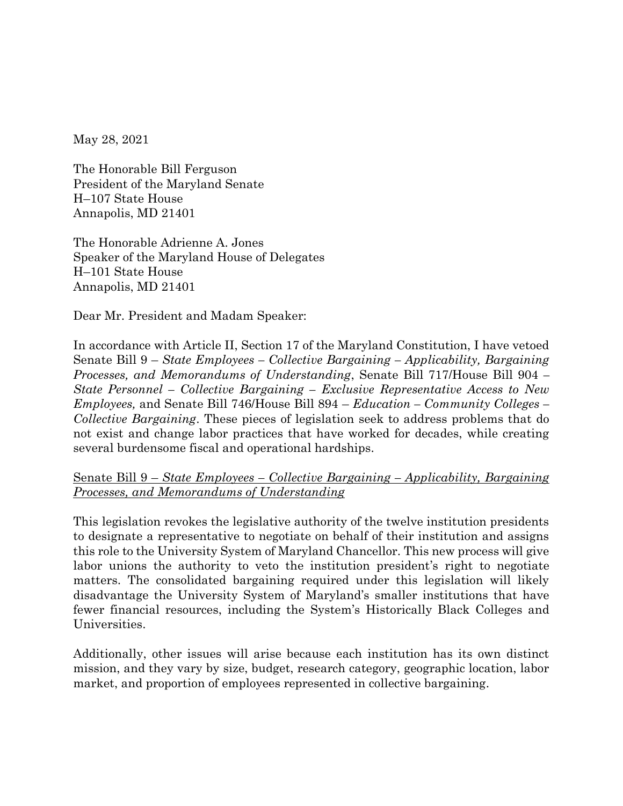May 28, 2021

The Honorable Bill Ferguson President of the Maryland Senate H–107 State House Annapolis, MD 21401

The Honorable Adrienne A. Jones Speaker of the Maryland House of Delegates H–101 State House Annapolis, MD 21401

Dear Mr. President and Madam Speaker:

In accordance with Article II, Section 17 of the Maryland Constitution, I have vetoed Senate Bill 9 – *State Employees – Collective Bargaining – Applicability, Bargaining Processes, and Memorandums of Understanding*, Senate Bill 717/House Bill 904 *– State Personnel – Collective Bargaining – Exclusive Representative Access to New Employees,* and Senate Bill 746/House Bill 894 – *Education – Community Colleges – Collective Bargaining*. These pieces of legislation seek to address problems that do not exist and change labor practices that have worked for decades, while creating several burdensome fiscal and operational hardships.

## Senate Bill 9 – *State Employees – Collective Bargaining – Applicability, Bargaining Processes, and Memorandums of Understanding*

This legislation revokes the legislative authority of the twelve institution presidents to designate a representative to negotiate on behalf of their institution and assigns this role to the University System of Maryland Chancellor. This new process will give labor unions the authority to veto the institution president's right to negotiate matters. The consolidated bargaining required under this legislation will likely disadvantage the University System of Maryland's smaller institutions that have fewer financial resources, including the System's Historically Black Colleges and Universities.

Additionally, other issues will arise because each institution has its own distinct mission, and they vary by size, budget, research category, geographic location, labor market, and proportion of employees represented in collective bargaining.